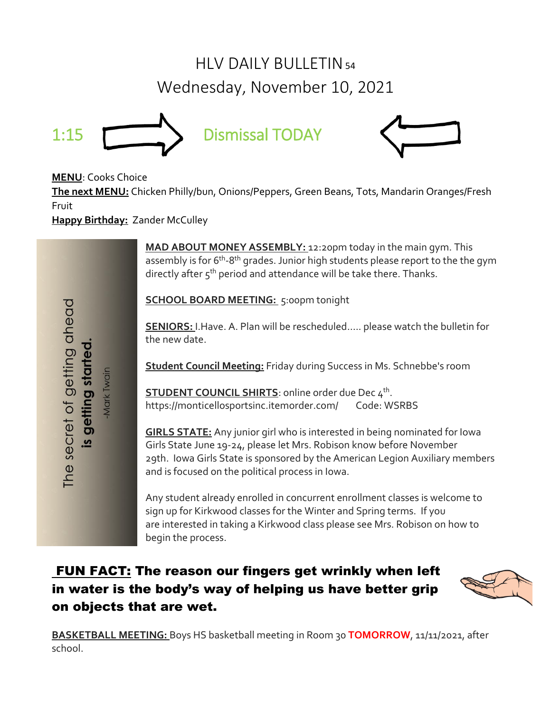# $HIV$  DAILY BULLETIN<sub>54</sub> Wednesday, November 10, 2021





**MENU**: Cooks Choice

The secret of getting ahead

is getting started

Mark Twain

**The next MENU:** Chicken Philly/bun, Onions/Peppers, Green Beans, Tots, Mandarin Oranges/Fresh Fruit

**Happy Birthday:** Zander McCulley

**MAD ABOUT MONEY ASSEMBLY:** 12:20pm today in the main gym. This assembly is for 6<sup>th</sup>-8<sup>th</sup> grades. Junior high students please report to the the gym directly after 5<sup>th</sup> period and attendance will be take there. Thanks.

**SCHOOL BOARD MEETING:** 5:00pm tonight

**SENIORS:** I.Have. A. Plan will be rescheduled….. please watch the bulletin for the new date.

**Student Council Meeting:** Friday during Success in Ms. Schnebbe's room

**STUDENT COUNCIL SHIRTS**: online order due Dec 4<sup>th</sup>. https://monticellosportsinc.itemorder.com/ Code: WSRBS

**GIRLS STATE:** Any junior girl who is interested in being nominated for Iowa Girls State June 19-24, please let Mrs. Robison know before November 29th. Iowa Girls State is sponsored by the American Legion Auxiliary members and is focused on the political process in Iowa.

Any student already enrolled in concurrent enrollment classes is welcome to sign up for Kirkwood classes for the Winter and Spring terms. If you are interested in taking a Kirkwood class please see Mrs. Robison on how to begin the process.

## FUN FACT: The reason our fingers get wrinkly when left in water is the body's way of helping us have better grip on objects that are wet.



**BASKETBALL MEETING:** Boys HS basketball meeting in Room 30 **TOMORROW**, 11/11/2021, after school.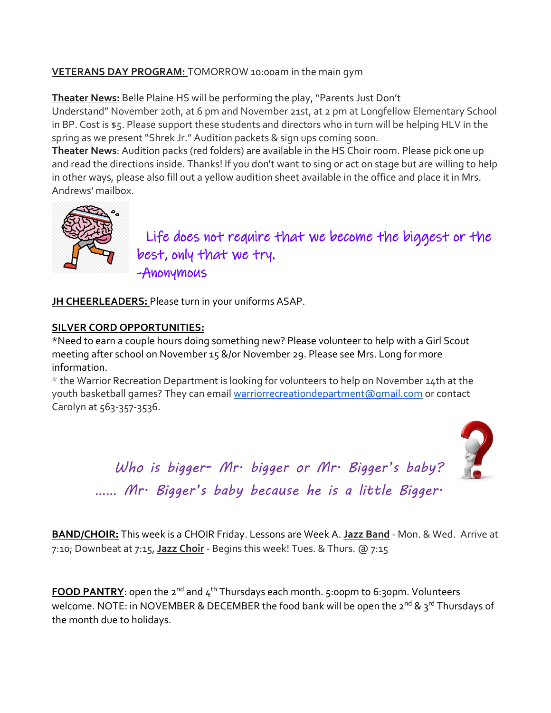#### **VETERANS DAY PROGRAM:** TOMORROW 10:00am in the main gym

**Theater News:** Belle Plaine HS will be performing the play, "Parents Just Don't Understand" November 20th, at 6 pm and November 21st, at 2 pm at Longfellow Elementary School in BP. Cost is \$5. Please support these students and directors who in turn will be helping HLV in the spring as we present "Shrek Jr." Audition packets & sign ups coming soon.

**Theater News**: Audition packs (red folders) are available in the HS Choir room. Please pick one up and read the directions inside. Thanks! If you don't want to sing or act on stage but are willing to help in other ways, please also fill out a yellow audition sheet available in the office and place it in Mrs. Andrews' mailbox.



 Life does not require that we become the biggest or the best, only that we try. -Anonymous

**JH CHEERLEADERS:** Please turn in your uniforms ASAP.

#### **SILVER CORD OPPORTUNITIES:**

\*Need to earn a couple hours doing something new? Please volunteer to help with a Girl Scout meeting after school on November 15 &/or November 29. Please see Mrs. Long for more information.

 $*$  the Warrior Recreation Department is looking for volunteers to help on November 14th at the youth basketball games? They can email [warriorrecreationdepartment@gmail.com](mailto:warriorrecreationdepartment@gmail.com) or contact Carolyn at 563-357-3536.



*Who is bigger- Mr. bigger or Mr. Bigger's baby? …… Mr. Bigger's baby because he is a little Bigger.*

**BAND/CHOIR:** This week is a CHOIR Friday. Lessons are Week A. **Jazz Band** - Mon. & Wed. Arrive at 7:10; Downbeat at 7:15, **Jazz Choir** - Begins this week! Tues. & Thurs. @ 7:15

**FOOD PANTRY**: open the 2<sup>nd</sup> and 4<sup>th</sup> Thursdays each month. 5:00pm to 6:30pm. Volunteers welcome. NOTE: in NOVEMBER & DECEMBER the food bank will be open the 2<sup>nd</sup> & 3<sup>rd</sup> Thursdays of the month due to holidays.